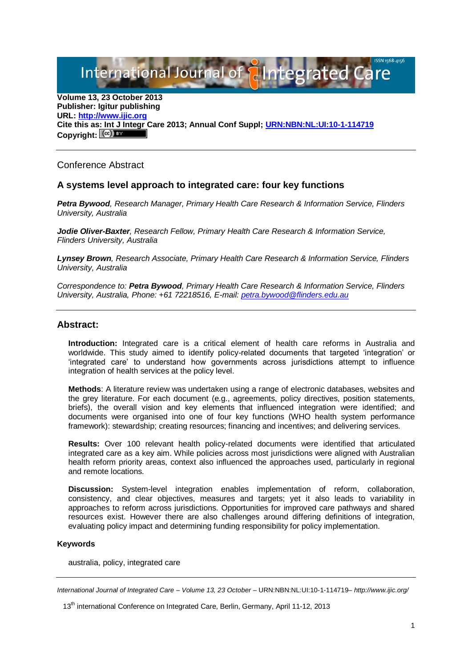International Journal of **Plntegrated** C

**Volume 13, 23 October 2013 Publisher: Igitur publishing URL[: http://www.ijic.org](http://www.ijic.org/) Cite this as: Int J Integr Care 2013; Annual Conf Suppl; [URN:NBN:NL:UI:10-1-114719](http://persistent-identifier.nl/?identifier=URN:NBN:NL:UI:10-1-114719)** Copyright:  $(cc)$  BY

Conference Abstract

## **A systems level approach to integrated care: four key functions**

*Petra Bywood, Research Manager, Primary Health Care Research & Information Service, Flinders University, Australia*

*Jodie Oliver-Baxter, Research Fellow, Primary Health Care Research & Information Service, Flinders University, Australia* 

*Lynsey Brown, Research Associate, Primary Health Care Research & Information Service, Flinders University, Australia* 

*Correspondence to: Petra Bywood, Primary Health Care Research & Information Service, Flinders University, Australia, Phone: +61 72218516, E-mail: [petra.bywood@flinders.edu.au](mailto:petra.bywood@flinders.edu.au)*

## **Abstract:**

**Introduction:** Integrated care is a critical element of health care reforms in Australia and worldwide. This study aimed to identify policy-related documents that targeted 'integration' or 'integrated care' to understand how governments across jurisdictions attempt to influence integration of health services at the policy level.

**Methods**: A literature review was undertaken using a range of electronic databases, websites and the grey literature. For each document (e.g., agreements, policy directives, position statements, briefs), the overall vision and key elements that influenced integration were identified; and documents were organised into one of four key functions (WHO health system performance framework): stewardship; creating resources; financing and incentives; and delivering services.

**Results:** Over 100 relevant health policy-related documents were identified that articulated integrated care as a key aim. While policies across most jurisdictions were aligned with Australian health reform priority areas, context also influenced the approaches used, particularly in regional and remote locations.

**Discussion:** System-level integration enables implementation of reform, collaboration, consistency, and clear objectives, measures and targets; yet it also leads to variability in approaches to reform across jurisdictions. Opportunities for improved care pathways and shared resources exist. However there are also challenges around differing definitions of integration, evaluating policy impact and determining funding responsibility for policy implementation.

## **Keywords**

australia, policy, integrated care

*International Journal of Integrated Care – Volume 13, 23 October –* URN:NBN:NL:UI:10-1-114719*– http://www.ijic.org/*

<sup>13&</sup>lt;sup>th</sup> international Conference on Integrated Care, Berlin, Germany, April 11-12, 2013